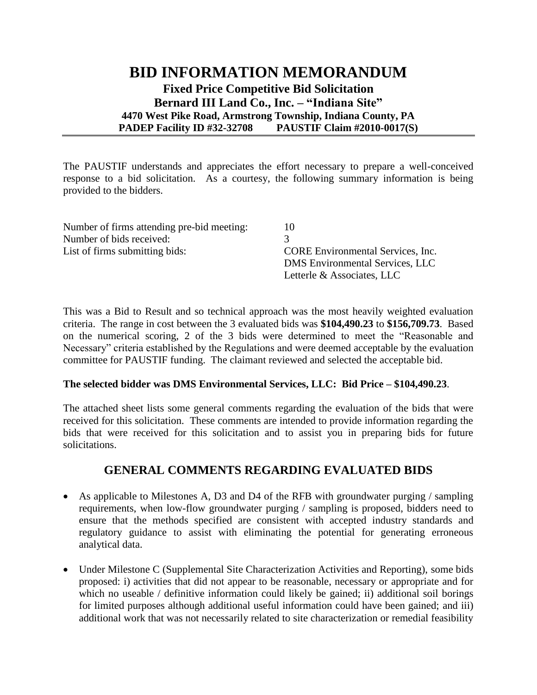## **BID INFORMATION MEMORANDUM Fixed Price Competitive Bid Solicitation Bernard III Land Co., Inc. – "Indiana Site" 4470 West Pike Road, Armstrong Township, Indiana County, PA PADEP Facility ID #32-32708 PAUSTIF Claim #2010-0017(S)**

The PAUSTIF understands and appreciates the effort necessary to prepare a well-conceived response to a bid solicitation. As a courtesy, the following summary information is being provided to the bidders.

| Number of firms attending pre-bid meeting: | 10                                       |
|--------------------------------------------|------------------------------------------|
| Number of bids received:                   |                                          |
| List of firms submitting bids:             | <b>CORE</b> Environmental Services, Inc. |
|                                            | <b>DMS</b> Environmental Services, LLC   |
|                                            | Letterle & Associates, LLC               |

This was a Bid to Result and so technical approach was the most heavily weighted evaluation criteria. The range in cost between the 3 evaluated bids was **\$104,490.23** to **\$156,709.73**. Based on the numerical scoring, 2 of the 3 bids were determined to meet the "Reasonable and Necessary" criteria established by the Regulations and were deemed acceptable by the evaluation committee for PAUSTIF funding. The claimant reviewed and selected the acceptable bid.

## **The selected bidder was DMS Environmental Services, LLC: Bid Price – \$104,490.23**.

The attached sheet lists some general comments regarding the evaluation of the bids that were received for this solicitation. These comments are intended to provide information regarding the bids that were received for this solicitation and to assist you in preparing bids for future solicitations.

## **GENERAL COMMENTS REGARDING EVALUATED BIDS**

- As applicable to Milestones A, D3 and D4 of the RFB with groundwater purging / sampling requirements, when low-flow groundwater purging / sampling is proposed, bidders need to ensure that the methods specified are consistent with accepted industry standards and regulatory guidance to assist with eliminating the potential for generating erroneous analytical data.
- Under Milestone C (Supplemental Site Characterization Activities and Reporting), some bids proposed: i) activities that did not appear to be reasonable, necessary or appropriate and for which no useable / definitive information could likely be gained; ii) additional soil borings for limited purposes although additional useful information could have been gained; and iii) additional work that was not necessarily related to site characterization or remedial feasibility